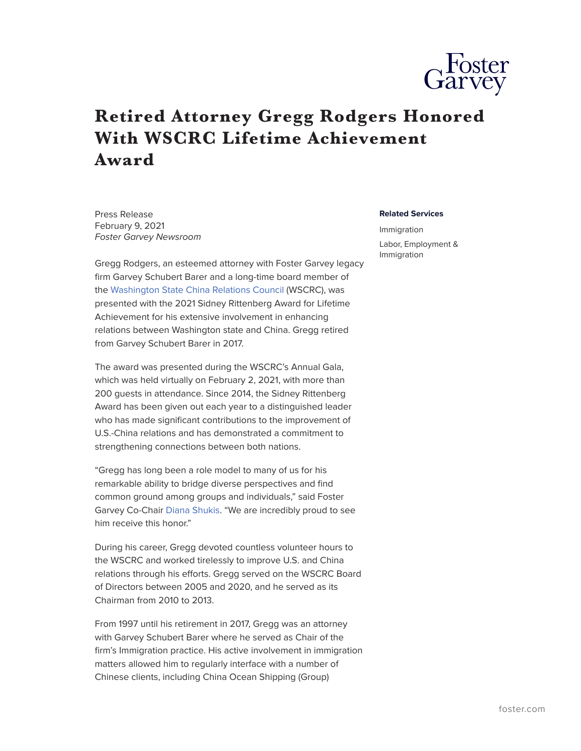

## **Retired Attorney Gregg Rodgers Honored With WSCRC Lifetime Achievement Award**

Press Release February 9, 2021 *Foster Garvey Newsroom*

Gregg Rodgers, an esteemed attorney with Foster Garvey legacy firm Garvey Schubert Barer and a long-time board member of the [Washington State China Relations Council](https://www.wscrc.org/) (WSCRC), was presented with the 2021 Sidney Rittenberg Award for Lifetime Achievement for his extensive involvement in enhancing relations between Washington state and China. Gregg retired from Garvey Schubert Barer in 2017.

The award was presented during the WSCRC's Annual Gala, which was held virtually on February 2, 2021, with more than 200 guests in attendance. Since 2014, the Sidney Rittenberg Award has been given out each year to a distinguished leader who has made significant contributions to the improvement of U.S.-China relations and has demonstrated a commitment to strengthening connections between both nations.

"Gregg has long been a role model to many of us for his remarkable ability to bridge diverse perspectives and find common ground among groups and individuals," said Foster Garvey Co-Chair [Diana Shukis.](https://www.foster.com/people-diana-shukis) "We are incredibly proud to see him receive this honor."

During his career, Gregg devoted countless volunteer hours to the WSCRC and worked tirelessly to improve U.S. and China relations through his efforts. Gregg served on the WSCRC Board of Directors between 2005 and 2020, and he served as its Chairman from 2010 to 2013.

From 1997 until his retirement in 2017, Gregg was an attorney with Garvey Schubert Barer where he served as Chair of the firm's Immigration practice. His active involvement in immigration matters allowed him to regularly interface with a number of Chinese clients, including China Ocean Shipping (Group)

## **Related Services**

Immigration Labor, Employment & Immigration